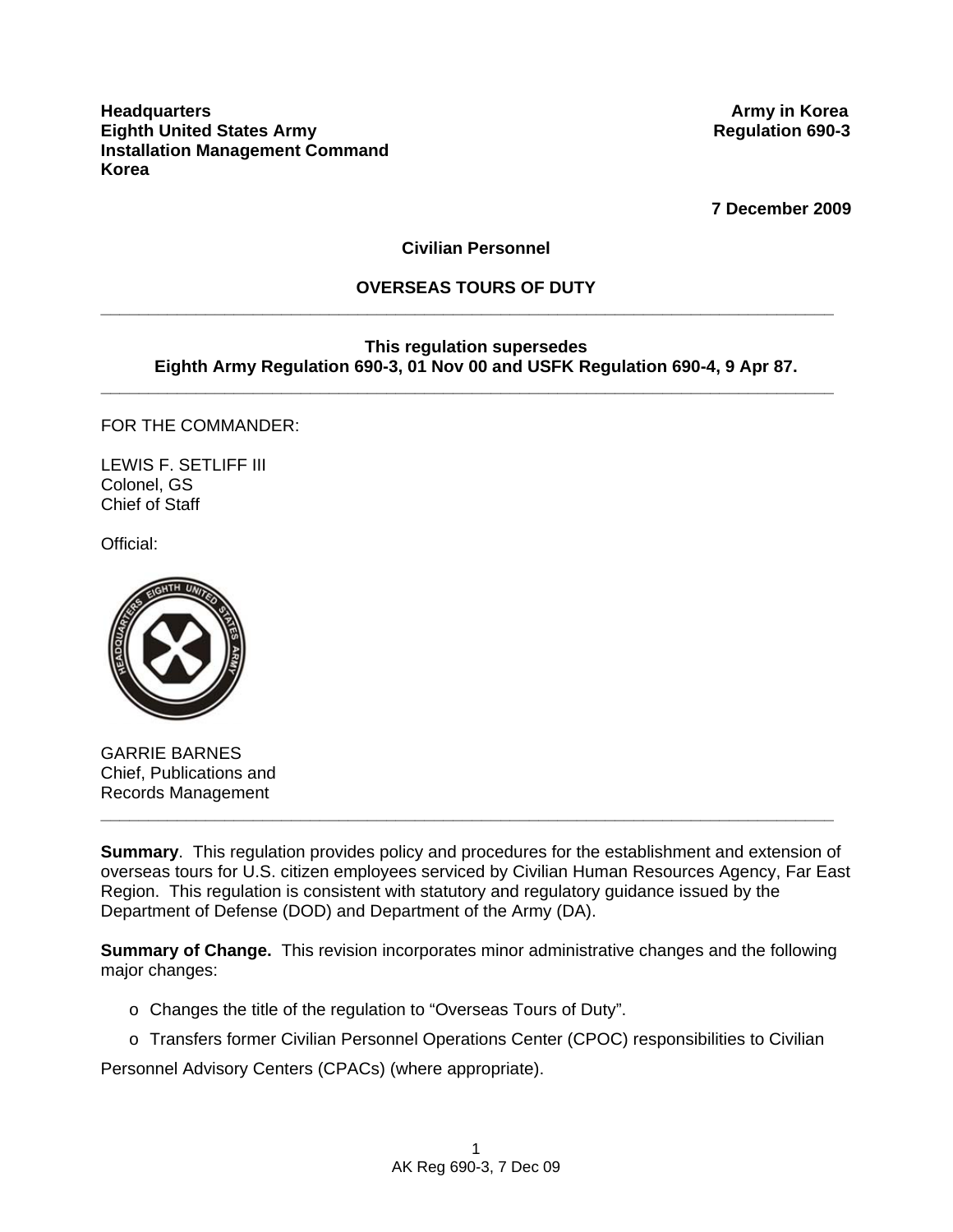**7 December 2009** 

## **Civilian Personnel**

#### **OVERSEAS TOURS OF DUTY \_\_\_\_\_\_\_\_\_\_\_\_\_\_\_\_\_\_\_\_\_\_\_\_\_\_\_\_\_\_\_\_\_\_\_\_\_\_\_\_\_\_\_\_\_\_\_\_\_\_\_\_\_\_\_\_\_\_\_\_\_\_\_\_\_\_\_\_\_\_\_\_\_\_\_\_\_**

#### **This regulation supersedes Eighth Army Regulation 690-3, 01 Nov 00 and USFK Regulation 690-4, 9 Apr 87.**

**\_\_\_\_\_\_\_\_\_\_\_\_\_\_\_\_\_\_\_\_\_\_\_\_\_\_\_\_\_\_\_\_\_\_\_\_\_\_\_\_\_\_\_\_\_\_\_\_\_\_\_\_\_\_\_\_\_\_\_\_\_\_\_\_\_\_\_\_\_\_\_\_\_\_\_\_\_**

FOR THE COMMANDER:

LEWIS F. SETLIFF III Colonel, GS Chief of Staff

Official:



GARRIE BARNES Chief, Publications and Records Management

**Summary**. This regulation provides policy and procedures for the establishment and extension of overseas tours for U.S. citizen employees serviced by Civilian Human Resources Agency, Far East Region. This regulation is consistent with statutory and regulatory guidance issued by the Department of Defense (DOD) and Department of the Army (DA).

**\_\_\_\_\_\_\_\_\_\_\_\_\_\_\_\_\_\_\_\_\_\_\_\_\_\_\_\_\_\_\_\_\_\_\_\_\_\_\_\_\_\_\_\_\_\_\_\_\_\_\_\_\_\_\_\_\_\_\_\_\_\_\_\_\_\_\_\_\_\_\_\_\_\_\_\_\_**

**Summary of Change.** This revision incorporates minor administrative changes and the following major changes:

- o Changes the title of the regulation to "Overseas Tours of Duty".
- o Transfers former Civilian Personnel Operations Center (CPOC) responsibilities to Civilian

Personnel Advisory Centers (CPACs) (where appropriate).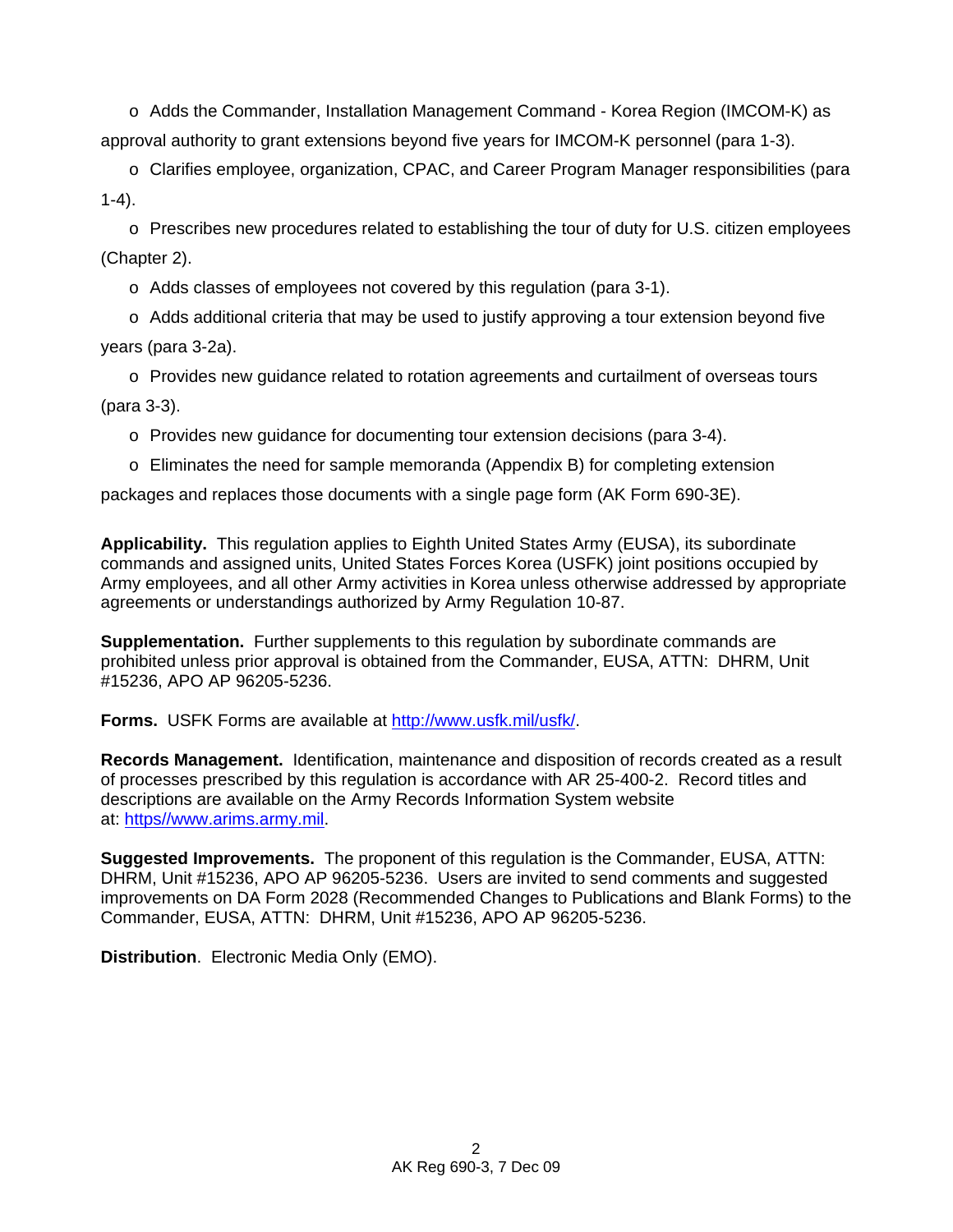o Adds the Commander, Installation Management Command - Korea Region (IMCOM-K) as approval authority to grant extensions beyond five years for IMCOM-K personnel (para 1-3).

o Clarifies employee, organization, CPAC, and Career Program Manager responsibilities (para  $1-4$ ).

 $\circ$  Prescribes new procedures related to establishing the tour of duty for U.S. citizen employees (Chapter 2).

o Adds classes of employees not covered by this regulation (para 3-1).

 $\circ$  Adds additional criteria that may be used to justify approving a tour extension beyond five years (para 3-2a).

o Provides new guidance related to rotation agreements and curtailment of overseas tours (para 3-3).

o Provides new guidance for documenting tour extension decisions (para 3-4).

o Eliminates the need for sample memoranda (Appendix B) for completing extension

packages and replaces those documents with a single page form (AK Form 690-3E).

**Applicability.** This regulation applies to Eighth United States Army (EUSA), its subordinate commands and assigned units, United States Forces Korea (USFK) joint positions occupied by Army employees, and all other Army activities in Korea unless otherwise addressed by appropriate agreements or understandings authorized by Army Regulation 10-87.

**Supplementation.** Further supplements to this regulation by subordinate commands are prohibited unless prior approval is obtained from the Commander, EUSA, ATTN: DHRM, Unit #15236, APO AP 96205-5236.

**Forms.** USFK Forms are available at [http://www.usfk.mil/usfk/.](http://www.usfk.mil/usfk/)

**Records Management.** Identification, maintenance and disposition of records created as a result of processes prescribed by this regulation is accordance with AR 25-400-2. Record titles and descriptions are available on the Army Records Information System website at: https//www.arims.army.mil.

**Suggested Improvements.** The proponent of this regulation is the Commander, EUSA, ATTN: DHRM, Unit #15236, APO AP 96205-5236. Users are invited to send comments and suggested improvements on DA Form 2028 (Recommended Changes to Publications and Blank Forms) to the Commander, EUSA, ATTN: DHRM, Unit #15236, APO AP 96205-5236.

**Distribution**. Electronic Media Only (EMO).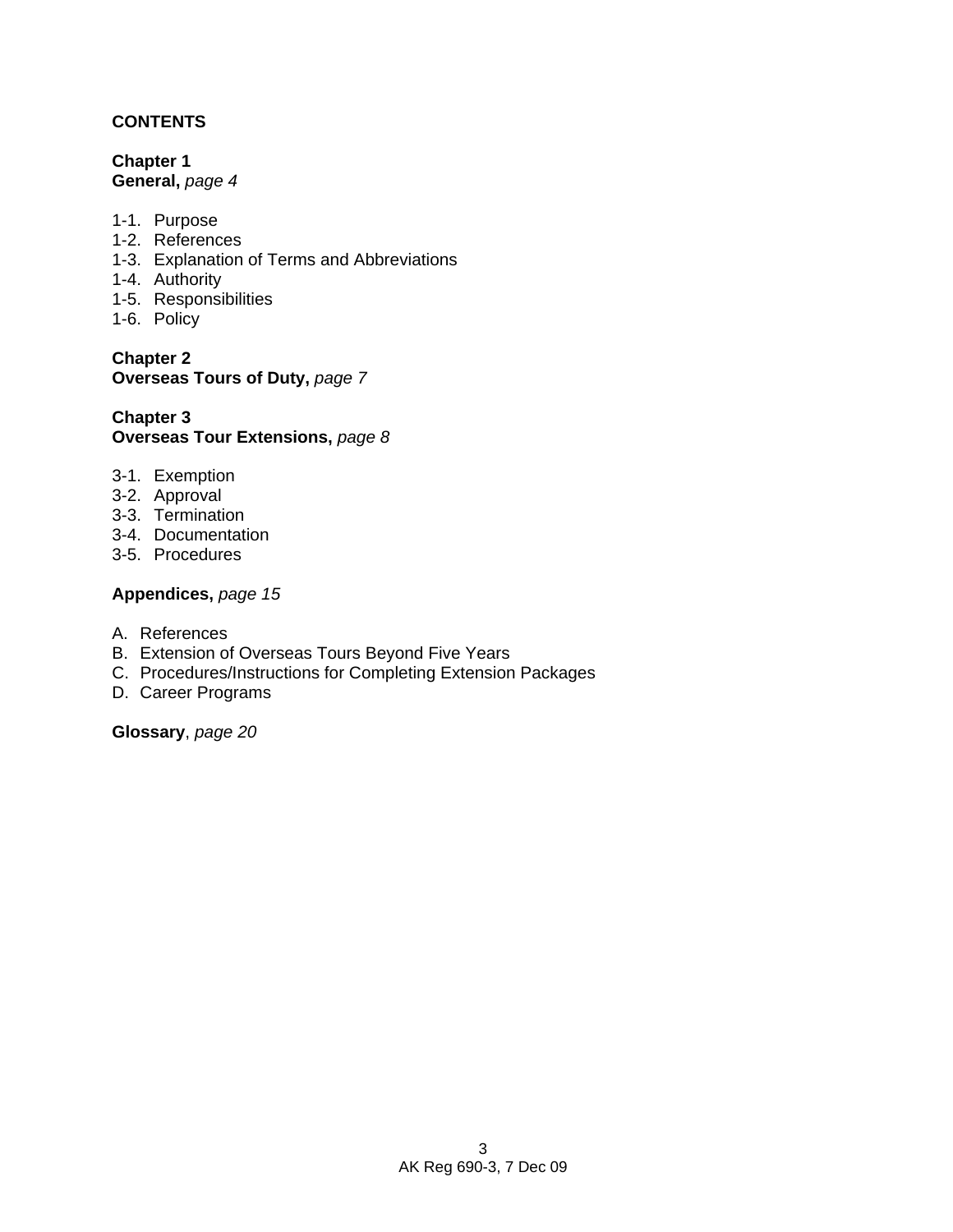## **CONTENTS**

**Chapter 1 General,** *page 4* 

- 1-1. Purpose
- 1-2. References
- 1-3. Explanation of Terms and Abbreviations
- 1-4. Authority
- 1-5. Responsibilities
- 1-6. Policy

**Chapter 2 Overseas Tours of Duty,** *page 7* 

### **Chapter 3 Overseas Tour Extensions,** *page 8*

- 3-1. Exemption
- 3-2. Approval
- 3-3. Termination
- 3-4. Documentation
- 3-5. Procedures

### **Appendices,** *page 15*

- A. References
- B. Extension of Overseas Tours Beyond Five Years
- C. Procedures/Instructions for Completing Extension Packages
- D. Career Programs

**Glossary**, *page 20*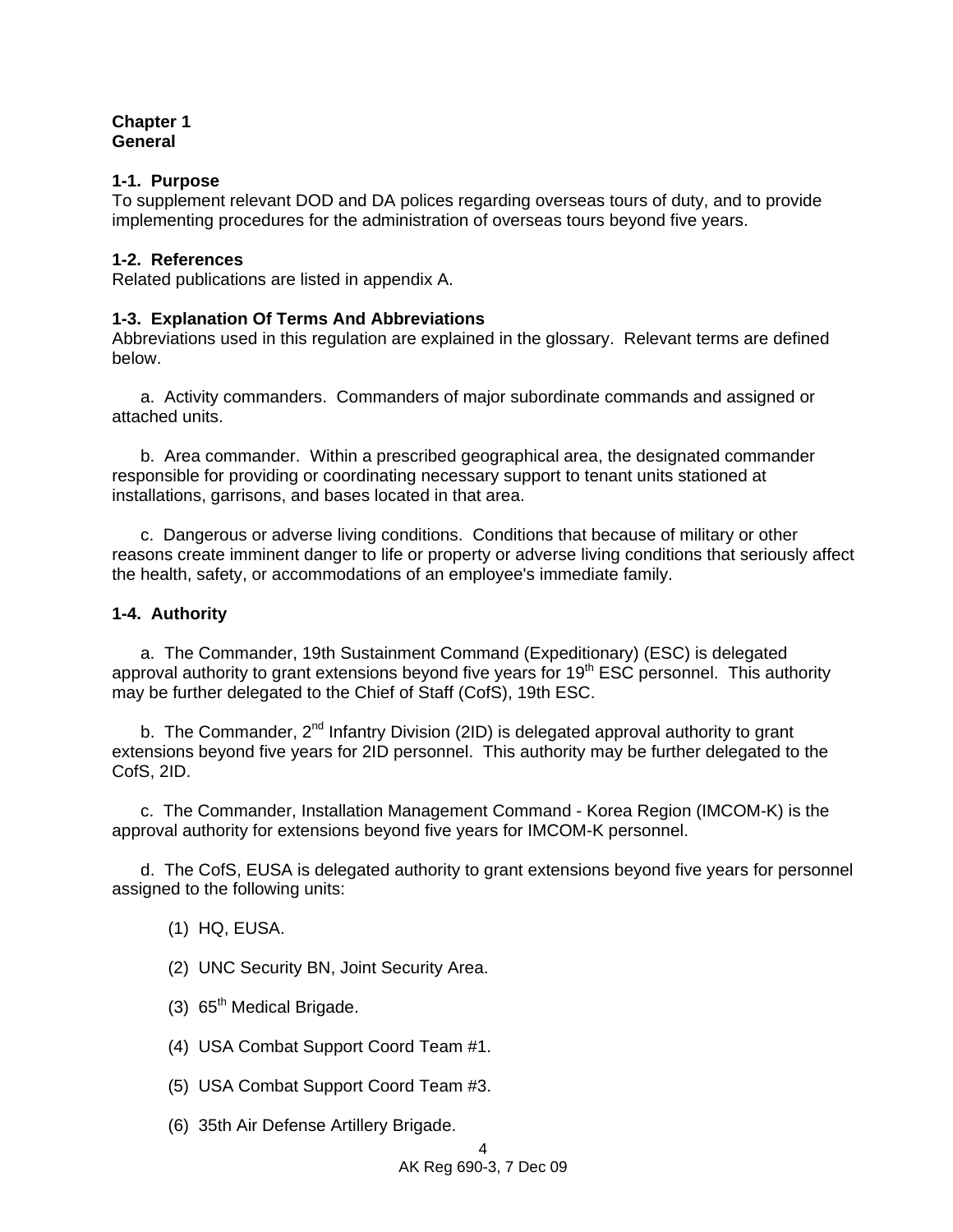### **Chapter 1 General**

### **1-1. Purpose**

To supplement relevant DOD and DA polices regarding overseas tours of duty, and to provide implementing procedures for the administration of overseas tours beyond five years.

### **1-2. References**

Related publications are listed in appendix A.

## **1-3. Explanation Of Terms And Abbreviations**

Abbreviations used in this regulation are explained in the glossary. Relevant terms are defined below.

 a. Activity commanders. Commanders of major subordinate commands and assigned or attached units.

 b. Area commander. Within a prescribed geographical area, the designated commander responsible for providing or coordinating necessary support to tenant units stationed at installations, garrisons, and bases located in that area.

 c. Dangerous or adverse living conditions. Conditions that because of military or other reasons create imminent danger to life or property or adverse living conditions that seriously affect the health, safety, or accommodations of an employee's immediate family.

## **1-4. Authority**

 a. The Commander, 19th Sustainment Command (Expeditionary) (ESC) is delegated approval authority to grant extensions beyond five years for  $19<sup>th</sup>$  ESC personnel. This authority may be further delegated to the Chief of Staff (CofS), 19th ESC.

b. The Commander,  $2^{nd}$  Infantry Division (2ID) is delegated approval authority to grant extensions beyond five years for 2ID personnel. This authority may be further delegated to the CofS, 2ID.

 c. The Commander, Installation Management Command - Korea Region (IMCOM-K) is the approval authority for extensions beyond five years for IMCOM-K personnel.

 d. The CofS, EUSA is delegated authority to grant extensions beyond five years for personnel assigned to the following units:

(1) HQ, EUSA.

(2) UNC Security BN, Joint Security Area.

- $(3)$  65<sup>th</sup> Medical Brigade.
- (4) USA Combat Support Coord Team #1.
- (5) USA Combat Support Coord Team #3.
- (6) 35th Air Defense Artillery Brigade.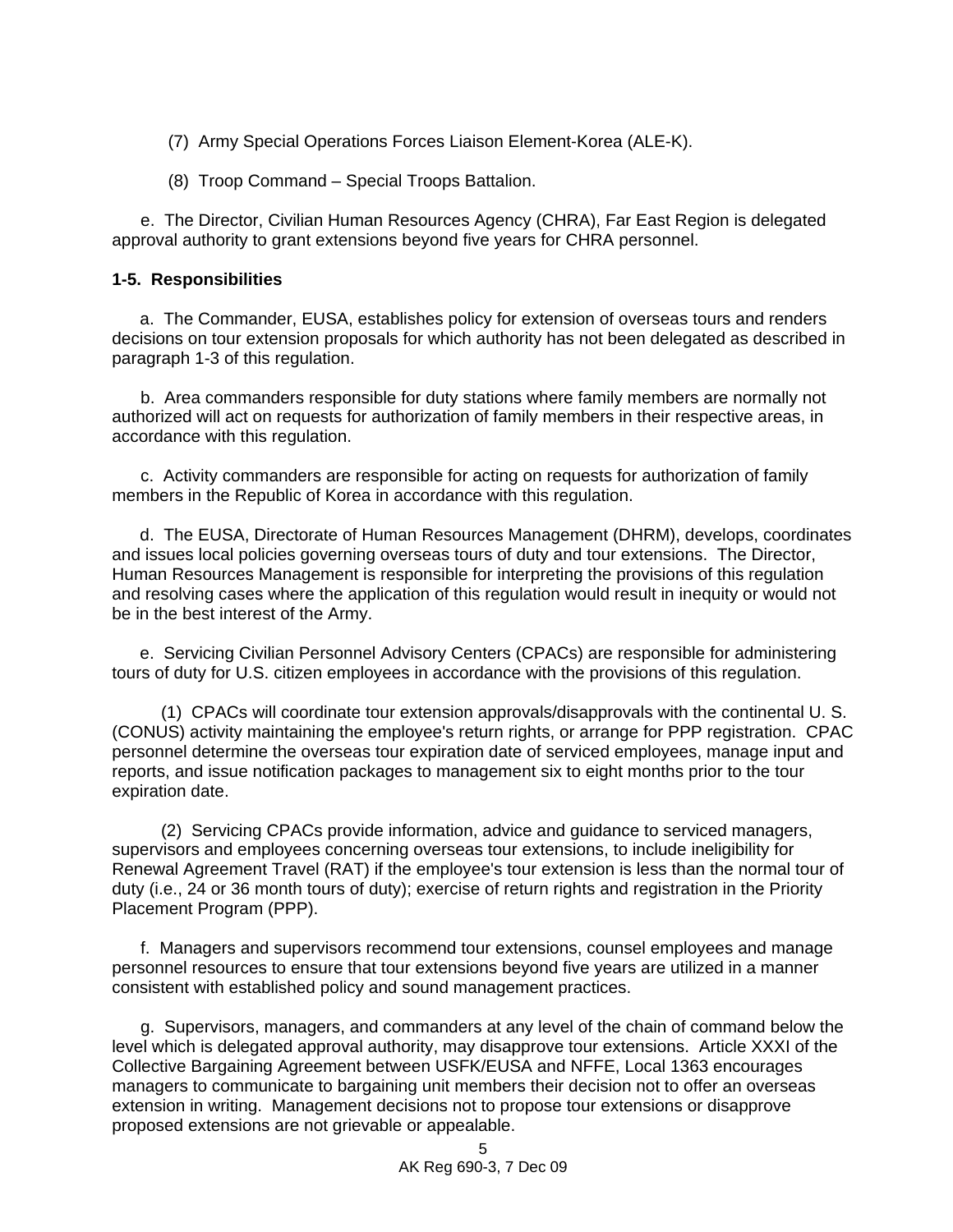- (7) Army Special Operations Forces Liaison Element-Korea (ALE-K).
- (8) Troop Command Special Troops Battalion.

 e. The Director, Civilian Human Resources Agency (CHRA), Far East Region is delegated approval authority to grant extensions beyond five years for CHRA personnel.

### **1-5. Responsibilities**

a. The Commander, EUSA, establishes policy for extension of overseas tours and renders decisions on tour extension proposals for which authority has not been delegated as described in paragraph 1-3 of this regulation.

 b. Area commanders responsible for duty stations where family members are normally not authorized will act on requests for authorization of family members in their respective areas, in accordance with this regulation.

 c. Activity commanders are responsible for acting on requests for authorization of family members in the Republic of Korea in accordance with this regulation.

d. The EUSA, Directorate of Human Resources Management (DHRM), develops, coordinates and issues local policies governing overseas tours of duty and tour extensions. The Director, Human Resources Management is responsible for interpreting the provisions of this regulation and resolving cases where the application of this regulation would result in inequity or would not be in the best interest of the Army.

e. Servicing Civilian Personnel Advisory Centers (CPACs) are responsible for administering tours of duty for U.S. citizen employees in accordance with the provisions of this regulation.

 (1) CPACs will coordinate tour extension approvals/disapprovals with the continental U. S. (CONUS) activity maintaining the employee's return rights, or arrange for PPP registration. CPAC personnel determine the overseas tour expiration date of serviced employees, manage input and reports, and issue notification packages to management six to eight months prior to the tour expiration date.

 (2) Servicing CPACs provide information, advice and guidance to serviced managers, supervisors and employees concerning overseas tour extensions, to include ineligibility for Renewal Agreement Travel (RAT) if the employee's tour extension is less than the normal tour of duty (i.e., 24 or 36 month tours of duty); exercise of return rights and registration in the Priority Placement Program (PPP).

 f. Managers and supervisors recommend tour extensions, counsel employees and manage personnel resources to ensure that tour extensions beyond five years are utilized in a manner consistent with established policy and sound management practices.

 g. Supervisors, managers, and commanders at any level of the chain of command below the level which is delegated approval authority, may disapprove tour extensions. Article XXXI of the Collective Bargaining Agreement between USFK/EUSA and NFFE, Local 1363 encourages managers to communicate to bargaining unit members their decision not to offer an overseas extension in writing. Management decisions not to propose tour extensions or disapprove proposed extensions are not grievable or appealable.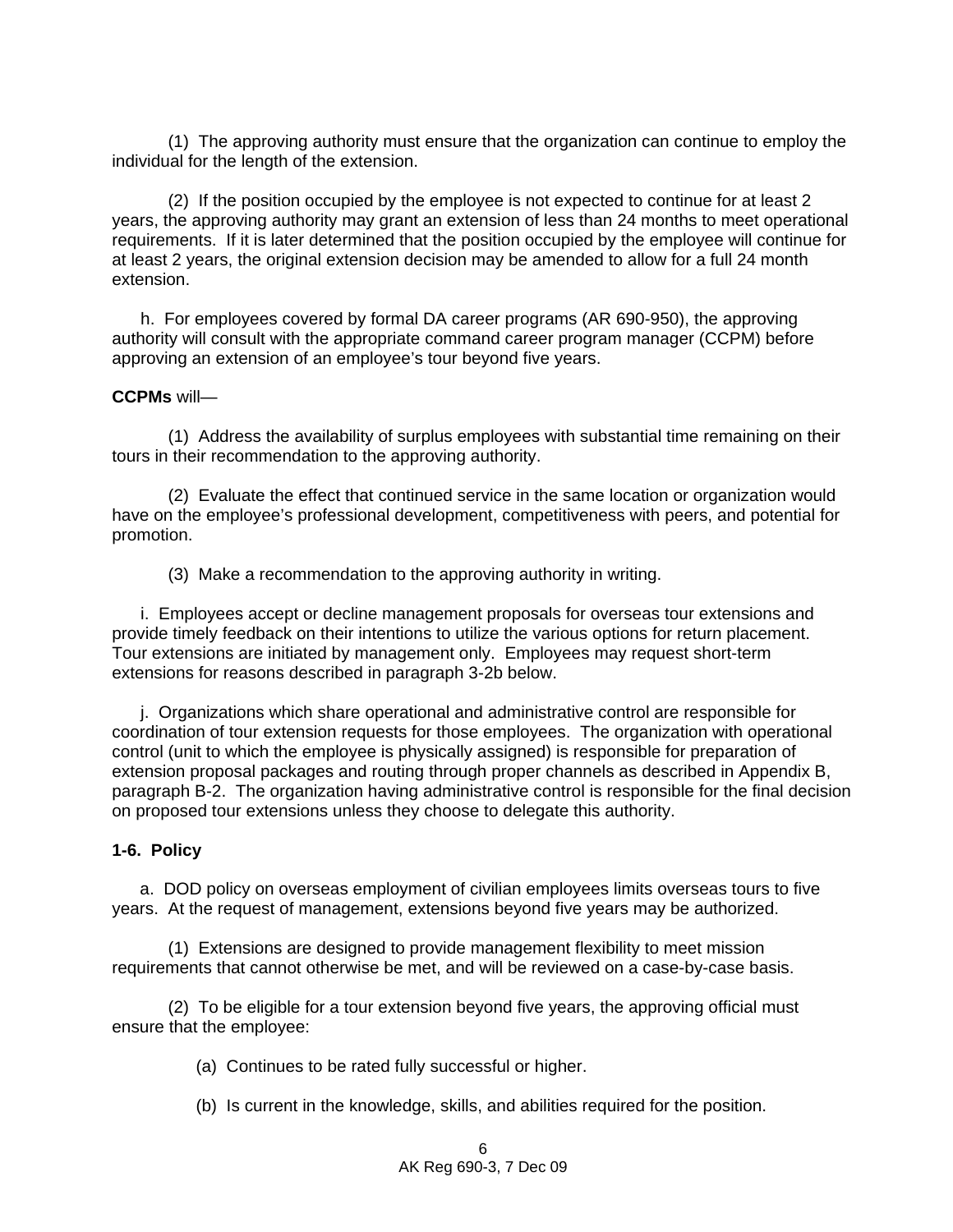(1) The approving authority must ensure that the organization can continue to employ the individual for the length of the extension.

(2) If the position occupied by the employee is not expected to continue for at least 2 years, the approving authority may grant an extension of less than 24 months to meet operational requirements. If it is later determined that the position occupied by the employee will continue for at least 2 years, the original extension decision may be amended to allow for a full 24 month extension.

 h. For employees covered by formal DA career programs (AR 690-950), the approving authority will consult with the appropriate command career program manager (CCPM) before approving an extension of an employee's tour beyond five years.

#### **CCPMs** will—

 (1) Address the availability of surplus employees with substantial time remaining on their tours in their recommendation to the approving authority.

 (2) Evaluate the effect that continued service in the same location or organization would have on the employee's professional development, competitiveness with peers, and potential for promotion.

(3) Make a recommendation to the approving authority in writing.

 i. Employees accept or decline management proposals for overseas tour extensions and provide timely feedback on their intentions to utilize the various options for return placement. Tour extensions are initiated by management only. Employees may request short-term extensions for reasons described in paragraph 3-2b below.

 j. Organizations which share operational and administrative control are responsible for coordination of tour extension requests for those employees. The organization with operational control (unit to which the employee is physically assigned) is responsible for preparation of extension proposal packages and routing through proper channels as described in Appendix B, paragraph B-2. The organization having administrative control is responsible for the final decision on proposed tour extensions unless they choose to delegate this authority.

#### **1-6. Policy**

 a. DOD policy on overseas employment of civilian employees limits overseas tours to five years. At the request of management, extensions beyond five years may be authorized.

 (1) Extensions are designed to provide management flexibility to meet mission requirements that cannot otherwise be met, and will be reviewed on a case-by-case basis.

 (2) To be eligible for a tour extension beyond five years, the approving official must ensure that the employee:

(a) Continues to be rated fully successful or higher.

(b) Is current in the knowledge, skills, and abilities required for the position.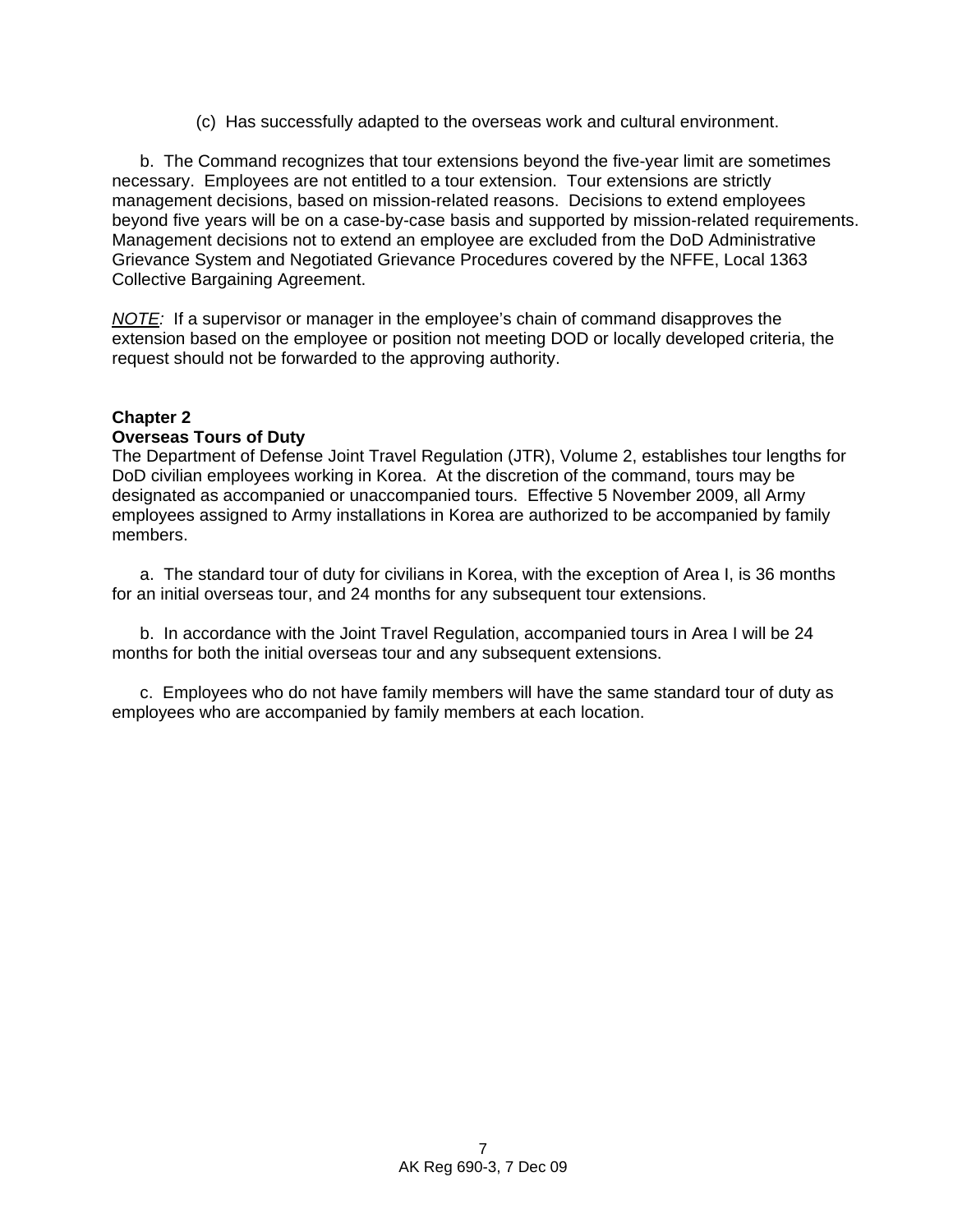(c) Has successfully adapted to the overseas work and cultural environment.

 b. The Command recognizes that tour extensions beyond the five-year limit are sometimes necessary. Employees are not entitled to a tour extension. Tour extensions are strictly management decisions, based on mission-related reasons. Decisions to extend employees beyond five years will be on a case-by-case basis and supported by mission-related requirements. Management decisions not to extend an employee are excluded from the DoD Administrative Grievance System and Negotiated Grievance Procedures covered by the NFFE, Local 1363 Collective Bargaining Agreement.

*NOTE:* If a supervisor or manager in the employee's chain of command disapproves the extension based on the employee or position not meeting DOD or locally developed criteria, the request should not be forwarded to the approving authority.

### **Chapter 2**

#### **Overseas Tours of Duty**

The Department of Defense Joint Travel Regulation (JTR), Volume 2, establishes tour lengths for DoD civilian employees working in Korea. At the discretion of the command, tours may be designated as accompanied or unaccompanied tours. Effective 5 November 2009, all Army employees assigned to Army installations in Korea are authorized to be accompanied by family members.

a. The standard tour of duty for civilians in Korea, with the exception of Area I, is 36 months for an initial overseas tour, and 24 months for any subsequent tour extensions.

b. In accordance with the Joint Travel Regulation, accompanied tours in Area I will be 24 months for both the initial overseas tour and any subsequent extensions.

c. Employees who do not have family members will have the same standard tour of duty as employees who are accompanied by family members at each location.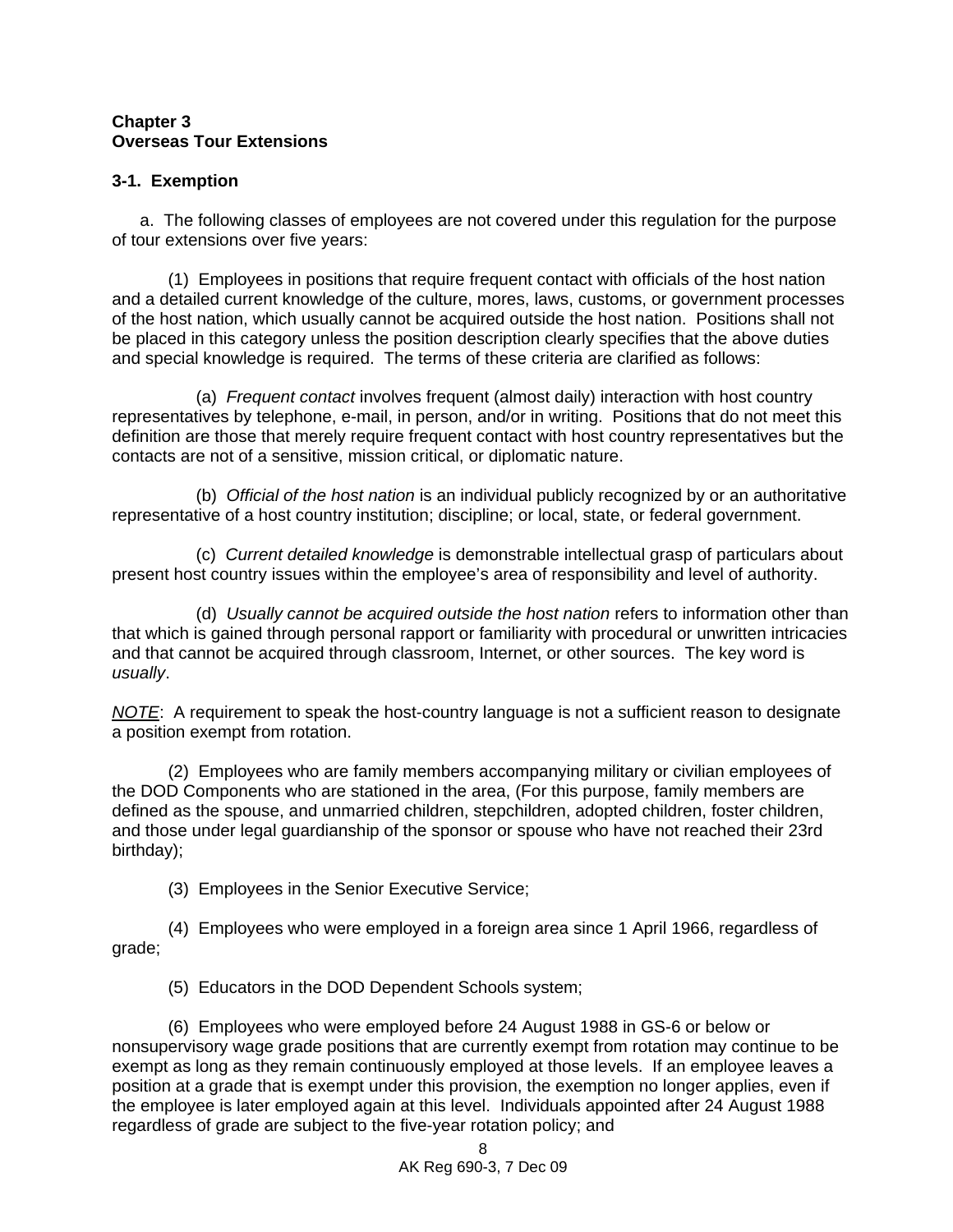### **Chapter 3 Overseas Tour Extensions**

## **3-1. Exemption**

 a. The following classes of employees are not covered under this regulation for the purpose of tour extensions over five years:

(1) Employees in positions that require frequent contact with officials of the host nation and a detailed current knowledge of the culture, mores, laws, customs, or government processes of the host nation, which usually cannot be acquired outside the host nation. Positions shall not be placed in this category unless the position description clearly specifies that the above duties and special knowledge is required. The terms of these criteria are clarified as follows:

 (a) *Frequent contact* involves frequent (almost daily) interaction with host country representatives by telephone, e-mail, in person, and/or in writing. Positions that do not meet this definition are those that merely require frequent contact with host country representatives but the contacts are not of a sensitive, mission critical, or diplomatic nature.

 (b) *Official of the host nation* is an individual publicly recognized by or an authoritative representative of a host country institution; discipline; or local, state, or federal government.

 (c) *Current detailed knowledge* is demonstrable intellectual grasp of particulars about present host country issues within the employee's area of responsibility and level of authority.

 (d) *Usually cannot be acquired outside the host nation* refers to information other than that which is gained through personal rapport or familiarity with procedural or unwritten intricacies and that cannot be acquired through classroom, Internet, or other sources. The key word is *usually*.

*NOTE*: A requirement to speak the host-country language is not a sufficient reason to designate a position exempt from rotation.

 (2) Employees who are family members accompanying military or civilian employees of the DOD Components who are stationed in the area, (For this purpose, family members are defined as the spouse, and unmarried children, stepchildren, adopted children, foster children, and those under legal guardianship of the sponsor or spouse who have not reached their 23rd birthday);

(3) Employees in the Senior Executive Service;

 (4) Employees who were employed in a foreign area since 1 April 1966, regardless of grade;

(5) Educators in the DOD Dependent Schools system;

 (6) Employees who were employed before 24 August 1988 in GS-6 or below or nonsupervisory wage grade positions that are currently exempt from rotation may continue to be exempt as long as they remain continuously employed at those levels. If an employee leaves a position at a grade that is exempt under this provision, the exemption no longer applies, even if the employee is later employed again at this level. Individuals appointed after 24 August 1988 regardless of grade are subject to the five-year rotation policy; and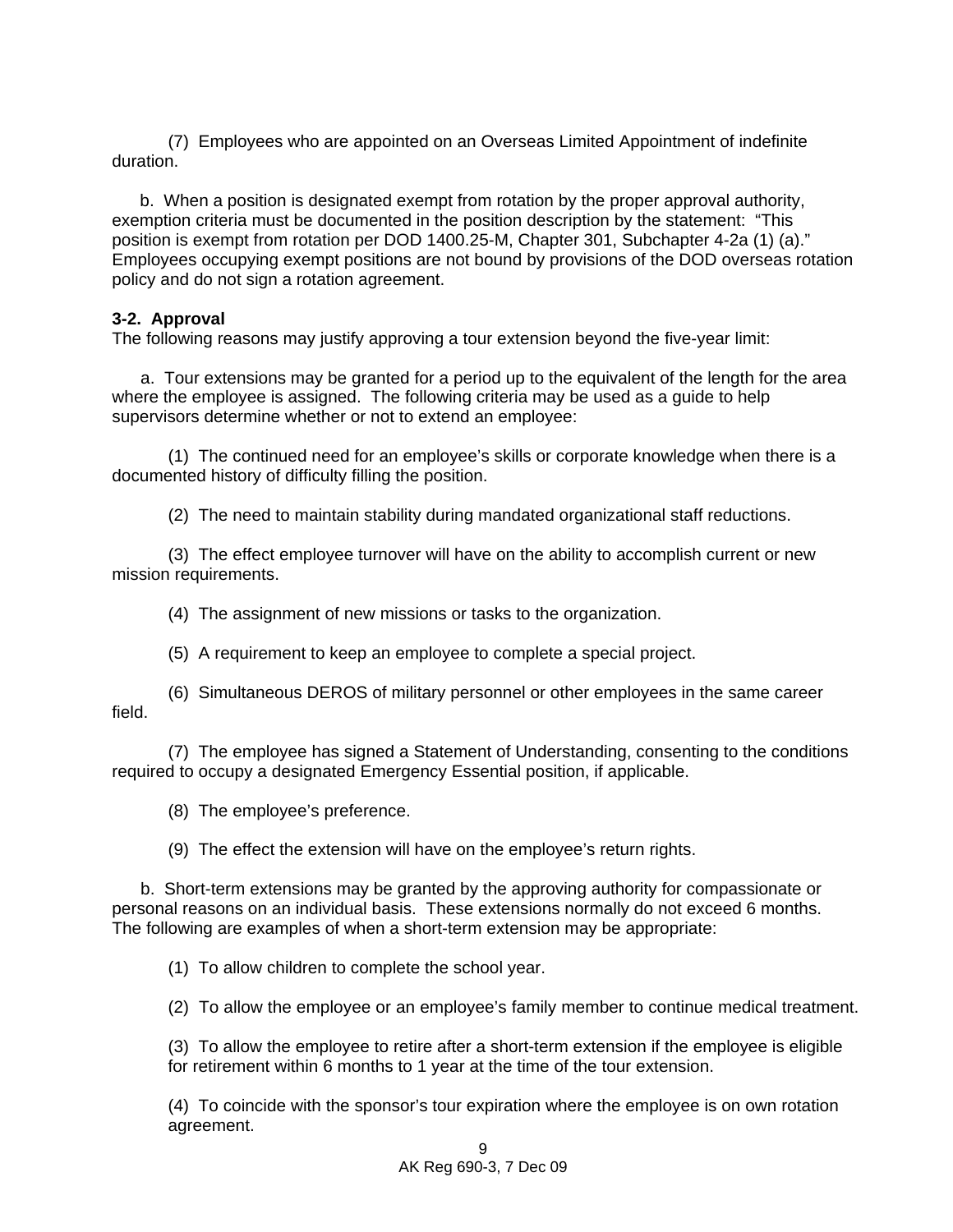(7) Employees who are appointed on an Overseas Limited Appointment of indefinite duration.

b. When a position is designated exempt from rotation by the proper approval authority, exemption criteria must be documented in the position description by the statement: "This position is exempt from rotation per DOD 1400.25-M, Chapter 301, Subchapter 4-2a (1) (a)." Employees occupying exempt positions are not bound by provisions of the DOD overseas rotation policy and do not sign a rotation agreement.

## **3-2. Approval**

The following reasons may justify approving a tour extension beyond the five-year limit:

 a. Tour extensions may be granted for a period up to the equivalent of the length for the area where the employee is assigned. The following criteria may be used as a guide to help supervisors determine whether or not to extend an employee:

 (1) The continued need for an employee's skills or corporate knowledge when there is a documented history of difficulty filling the position.

(2) The need to maintain stability during mandated organizational staff reductions.

 (3) The effect employee turnover will have on the ability to accomplish current or new mission requirements.

(4) The assignment of new missions or tasks to the organization.

(5) A requirement to keep an employee to complete a special project.

 (6) Simultaneous DEROS of military personnel or other employees in the same career field.

 (7) The employee has signed a Statement of Understanding, consenting to the conditions required to occupy a designated Emergency Essential position, if applicable.

(8) The employee's preference.

(9) The effect the extension will have on the employee's return rights.

 b. Short-term extensions may be granted by the approving authority for compassionate or personal reasons on an individual basis. These extensions normally do not exceed 6 months. The following are examples of when a short-term extension may be appropriate:

(1) To allow children to complete the school year.

(2) To allow the employee or an employee's family member to continue medical treatment.

(3) To allow the employee to retire after a short-term extension if the employee is eligible for retirement within 6 months to 1 year at the time of the tour extension.

(4) To coincide with the sponsor's tour expiration where the employee is on own rotation agreement.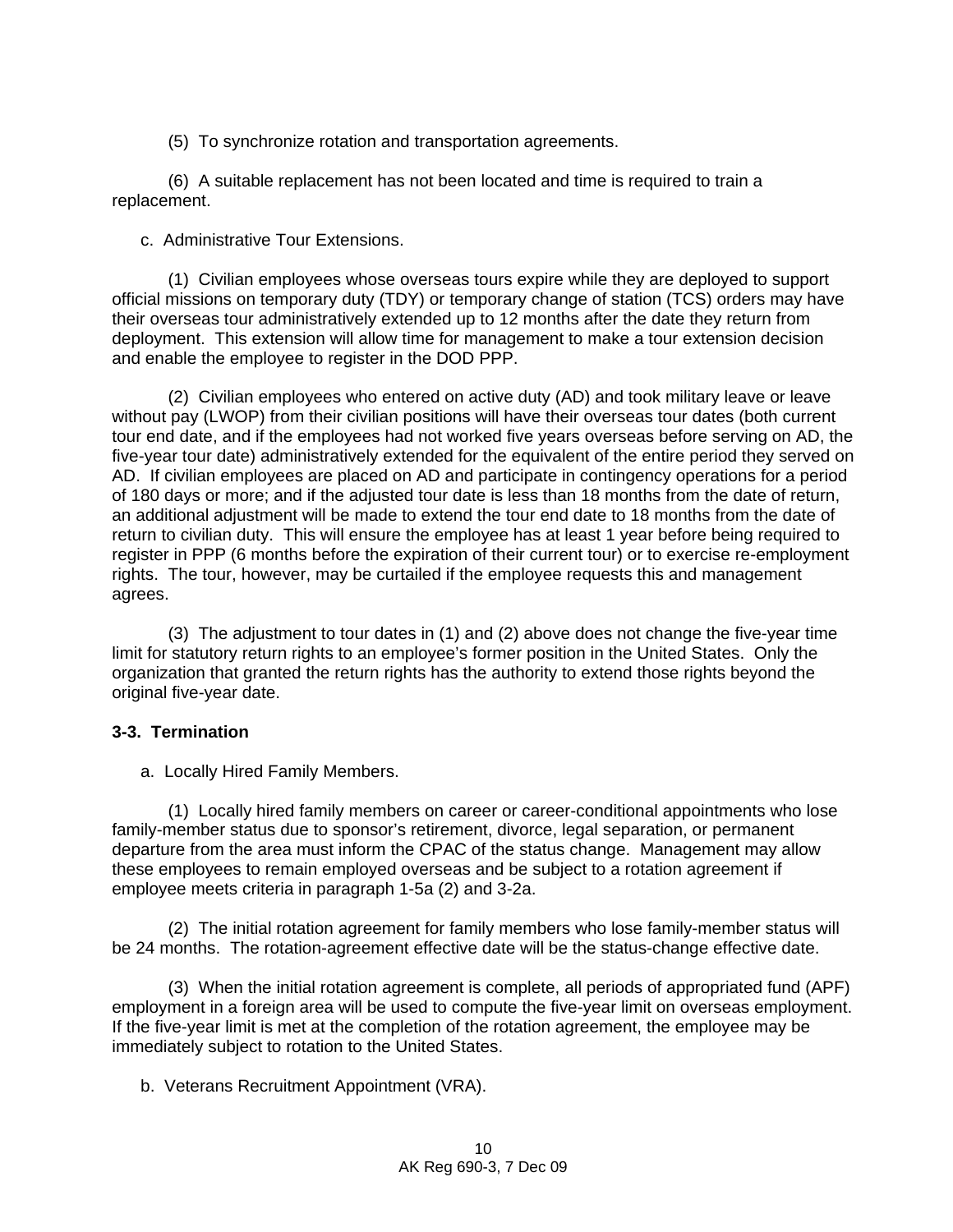(5) To synchronize rotation and transportation agreements.

(6) A suitable replacement has not been located and time is required to train a replacement.

c. Administrative Tour Extensions.

(1) Civilian employees whose overseas tours expire while they are deployed to support official missions on temporary duty (TDY) or temporary change of station (TCS) orders may have their overseas tour administratively extended up to 12 months after the date they return from deployment. This extension will allow time for management to make a tour extension decision and enable the employee to register in the DOD PPP.

(2) Civilian employees who entered on active duty (AD) and took military leave or leave without pay (LWOP) from their civilian positions will have their overseas tour dates (both current tour end date, and if the employees had not worked five years overseas before serving on AD, the five-year tour date) administratively extended for the equivalent of the entire period they served on AD. If civilian employees are placed on AD and participate in contingency operations for a period of 180 days or more; and if the adjusted tour date is less than 18 months from the date of return, an additional adjustment will be made to extend the tour end date to 18 months from the date of return to civilian duty. This will ensure the employee has at least 1 year before being required to register in PPP (6 months before the expiration of their current tour) or to exercise re-employment rights. The tour, however, may be curtailed if the employee requests this and management agrees.

(3) The adjustment to tour dates in (1) and (2) above does not change the five-year time limit for statutory return rights to an employee's former position in the United States. Only the organization that granted the return rights has the authority to extend those rights beyond the original five-year date.

### **3-3. Termination**

a. Locally Hired Family Members.

(1) Locally hired family members on career or career-conditional appointments who lose family-member status due to sponsor's retirement, divorce, legal separation, or permanent departure from the area must inform the CPAC of the status change. Management may allow these employees to remain employed overseas and be subject to a rotation agreement if employee meets criteria in paragraph 1-5a (2) and 3-2a.

(2) The initial rotation agreement for family members who lose family-member status will be 24 months. The rotation-agreement effective date will be the status-change effective date.

(3) When the initial rotation agreement is complete, all periods of appropriated fund (APF) employment in a foreign area will be used to compute the five-year limit on overseas employment. If the five-year limit is met at the completion of the rotation agreement, the employee may be immediately subject to rotation to the United States.

b. Veterans Recruitment Appointment (VRA).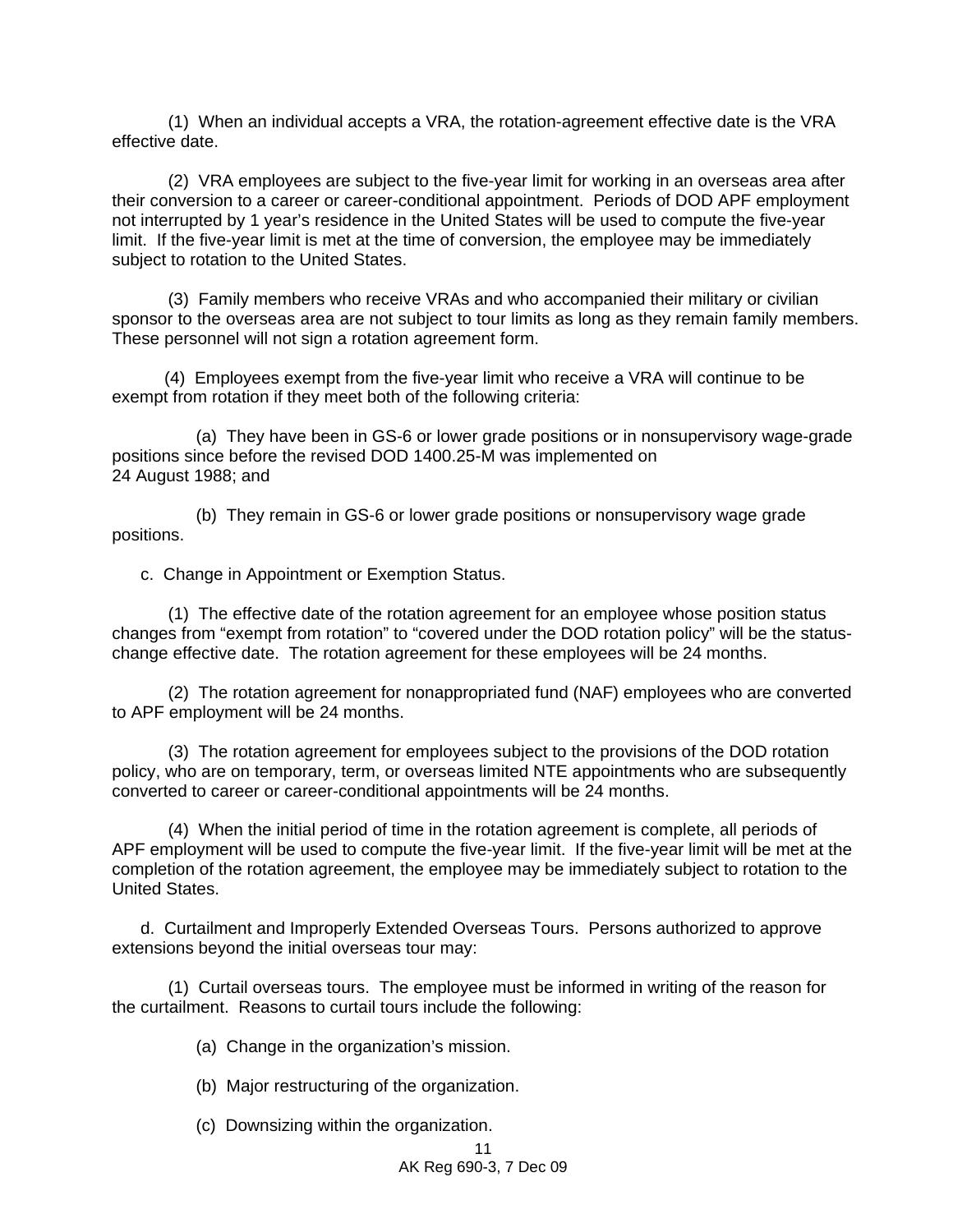(1) When an individual accepts a VRA, the rotation-agreement effective date is the VRA effective date.

(2) VRA employees are subject to the five-year limit for working in an overseas area after their conversion to a career or career-conditional appointment. Periods of DOD APF employment not interrupted by 1 year's residence in the United States will be used to compute the five-year limit. If the five-year limit is met at the time of conversion, the employee may be immediately subject to rotation to the United States.

(3) Family members who receive VRAs and who accompanied their military or civilian sponsor to the overseas area are not subject to tour limits as long as they remain family members. These personnel will not sign a rotation agreement form.

 (4) Employees exempt from the five-year limit who receive a VRA will continue to be exempt from rotation if they meet both of the following criteria:

 (a) They have been in GS-6 or lower grade positions or in nonsupervisory wage-grade positions since before the revised DOD 1400.25-M was implemented on 24 August 1988; and

 (b) They remain in GS-6 or lower grade positions or nonsupervisory wage grade positions.

c. Change in Appointment or Exemption Status.

(1) The effective date of the rotation agreement for an employee whose position status changes from "exempt from rotation" to "covered under the DOD rotation policy" will be the statuschange effective date. The rotation agreement for these employees will be 24 months.

(2) The rotation agreement for nonappropriated fund (NAF) employees who are converted to APF employment will be 24 months.

(3) The rotation agreement for employees subject to the provisions of the DOD rotation policy, who are on temporary, term, or overseas limited NTE appointments who are subsequently converted to career or career-conditional appointments will be 24 months.

(4) When the initial period of time in the rotation agreement is complete, all periods of APF employment will be used to compute the five-year limit. If the five-year limit will be met at the completion of the rotation agreement, the employee may be immediately subject to rotation to the United States.

 d. Curtailment and Improperly Extended Overseas Tours. Persons authorized to approve extensions beyond the initial overseas tour may:

(1) Curtail overseas tours. The employee must be informed in writing of the reason for the curtailment. Reasons to curtail tours include the following:

(a) Change in the organization's mission.

(b) Major restructuring of the organization.

(c) Downsizing within the organization.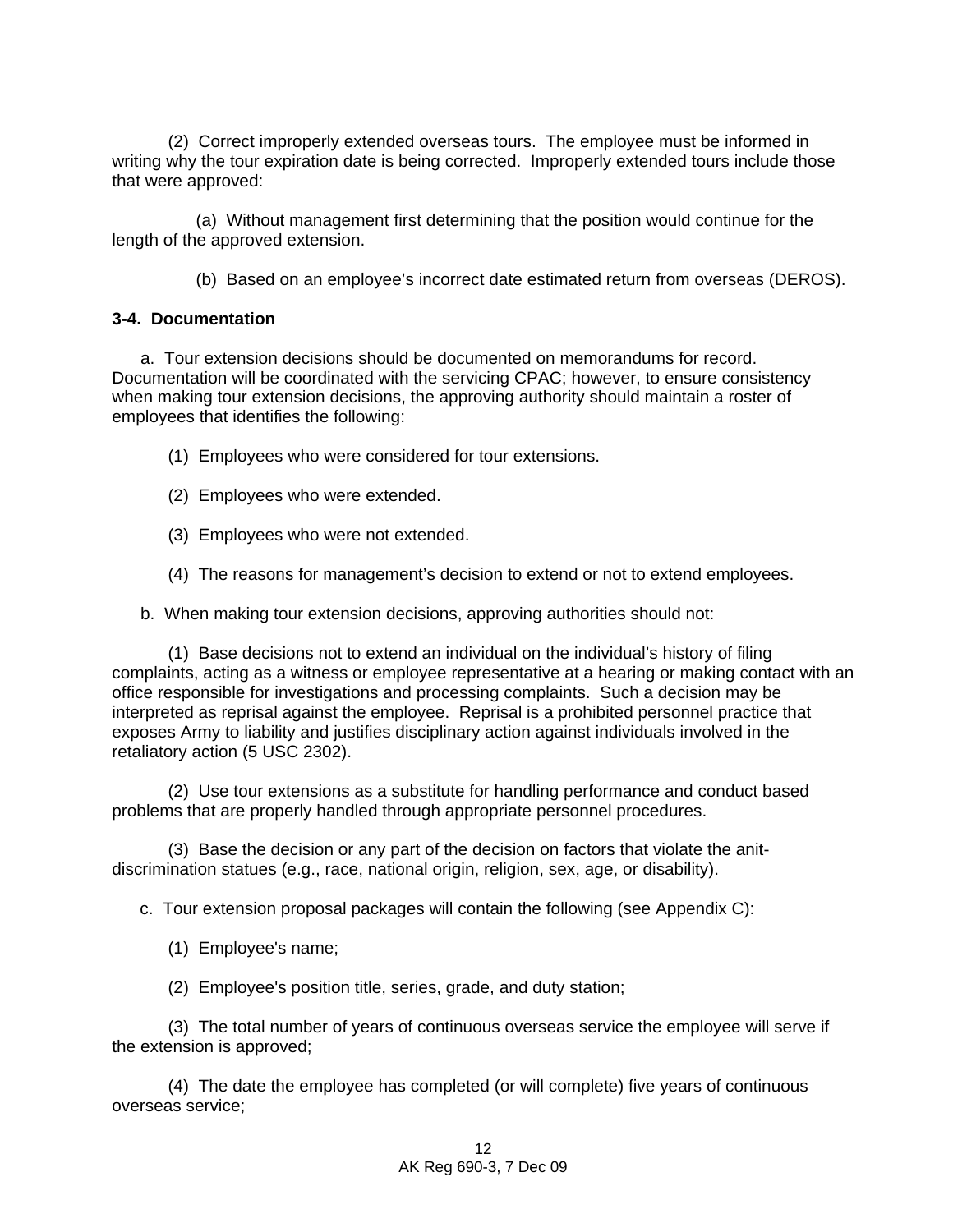(2) Correct improperly extended overseas tours. The employee must be informed in writing why the tour expiration date is being corrected. Improperly extended tours include those that were approved:

 (a) Without management first determining that the position would continue for the length of the approved extension.

(b) Based on an employee's incorrect date estimated return from overseas (DEROS).

#### **3-4. Documentation**

 a. Tour extension decisions should be documented on memorandums for record. Documentation will be coordinated with the servicing CPAC; however, to ensure consistency when making tour extension decisions, the approving authority should maintain a roster of employees that identifies the following:

(1) Employees who were considered for tour extensions.

- (2) Employees who were extended.
- (3) Employees who were not extended.
- (4) The reasons for management's decision to extend or not to extend employees.

b. When making tour extension decisions, approving authorities should not:

(1) Base decisions not to extend an individual on the individual's history of filing complaints, acting as a witness or employee representative at a hearing or making contact with an office responsible for investigations and processing complaints. Such a decision may be interpreted as reprisal against the employee. Reprisal is a prohibited personnel practice that exposes Army to liability and justifies disciplinary action against individuals involved in the retaliatory action (5 USC 2302).

(2) Use tour extensions as a substitute for handling performance and conduct based problems that are properly handled through appropriate personnel procedures.

(3) Base the decision or any part of the decision on factors that violate the anitdiscrimination statues (e.g., race, national origin, religion, sex, age, or disability).

c. Tour extension proposal packages will contain the following (see Appendix C):

(1) Employee's name;

(2) Employee's position title, series, grade, and duty station;

(3) The total number of years of continuous overseas service the employee will serve if the extension is approved;

(4) The date the employee has completed (or will complete) five years of continuous overseas service;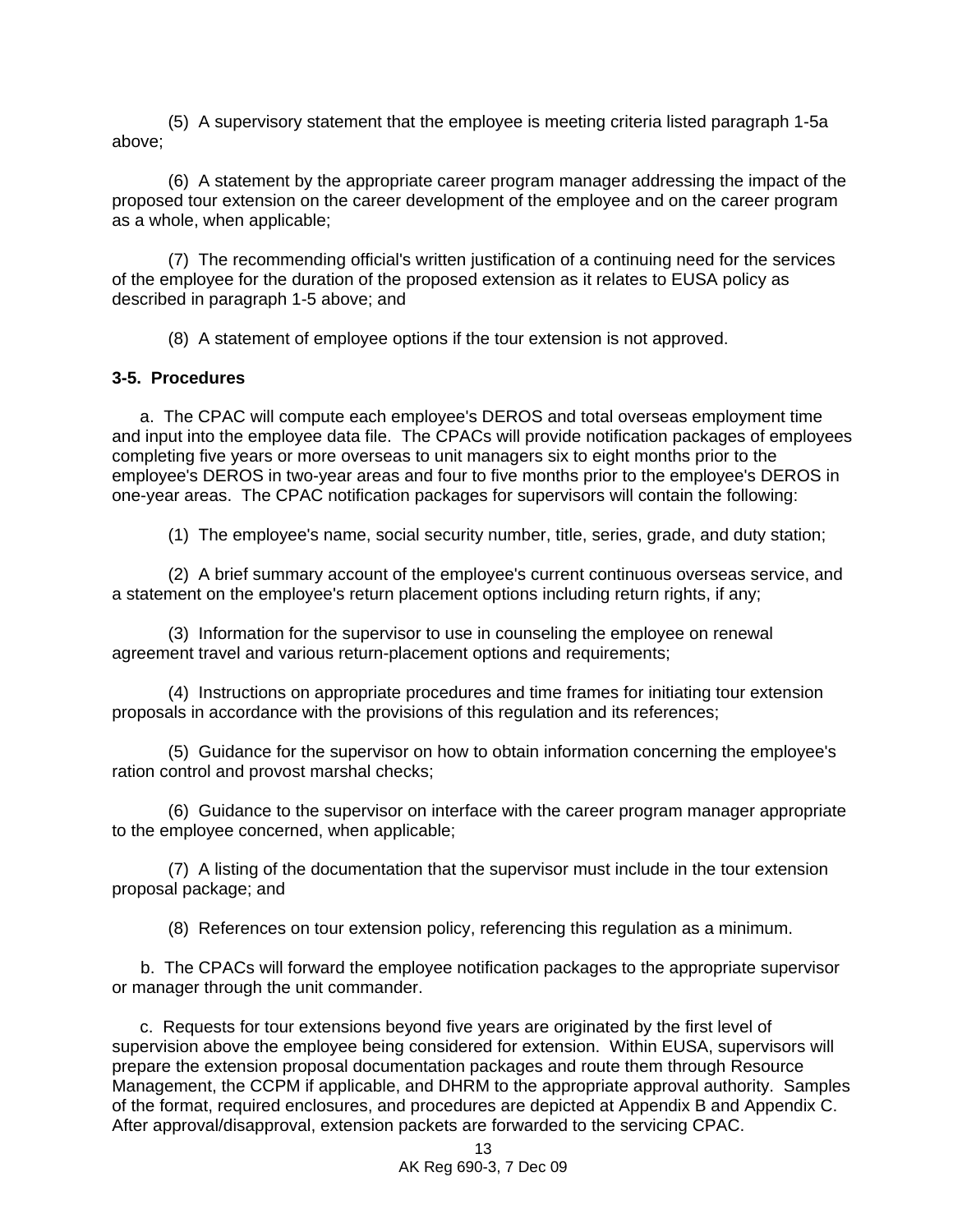(5) A supervisory statement that the employee is meeting criteria listed paragraph 1-5a above;

(6) A statement by the appropriate career program manager addressing the impact of the proposed tour extension on the career development of the employee and on the career program as a whole, when applicable;

(7) The recommending official's written justification of a continuing need for the services of the employee for the duration of the proposed extension as it relates to EUSA policy as described in paragraph 1-5 above; and

(8) A statement of employee options if the tour extension is not approved.

#### **3-5. Procedures**

 a. The CPAC will compute each employee's DEROS and total overseas employment time and input into the employee data file. The CPACs will provide notification packages of employees completing five years or more overseas to unit managers six to eight months prior to the employee's DEROS in two-year areas and four to five months prior to the employee's DEROS in one-year areas. The CPAC notification packages for supervisors will contain the following:

(1) The employee's name, social security number, title, series, grade, and duty station;

(2) A brief summary account of the employee's current continuous overseas service, and a statement on the employee's return placement options including return rights, if any;

(3) Information for the supervisor to use in counseling the employee on renewal agreement travel and various return-placement options and requirements;

(4) Instructions on appropriate procedures and time frames for initiating tour extension proposals in accordance with the provisions of this regulation and its references;

(5) Guidance for the supervisor on how to obtain information concerning the employee's ration control and provost marshal checks;

(6) Guidance to the supervisor on interface with the career program manager appropriate to the employee concerned, when applicable;

(7) A listing of the documentation that the supervisor must include in the tour extension proposal package; and

(8) References on tour extension policy, referencing this regulation as a minimum.

 b. The CPACs will forward the employee notification packages to the appropriate supervisor or manager through the unit commander.

c. Requests for tour extensions beyond five years are originated by the first level of supervision above the employee being considered for extension. Within EUSA, supervisors will prepare the extension proposal documentation packages and route them through Resource Management, the CCPM if applicable, and DHRM to the appropriate approval authority. Samples of the format, required enclosures, and procedures are depicted at Appendix B and Appendix C. After approval/disapproval, extension packets are forwarded to the servicing CPAC.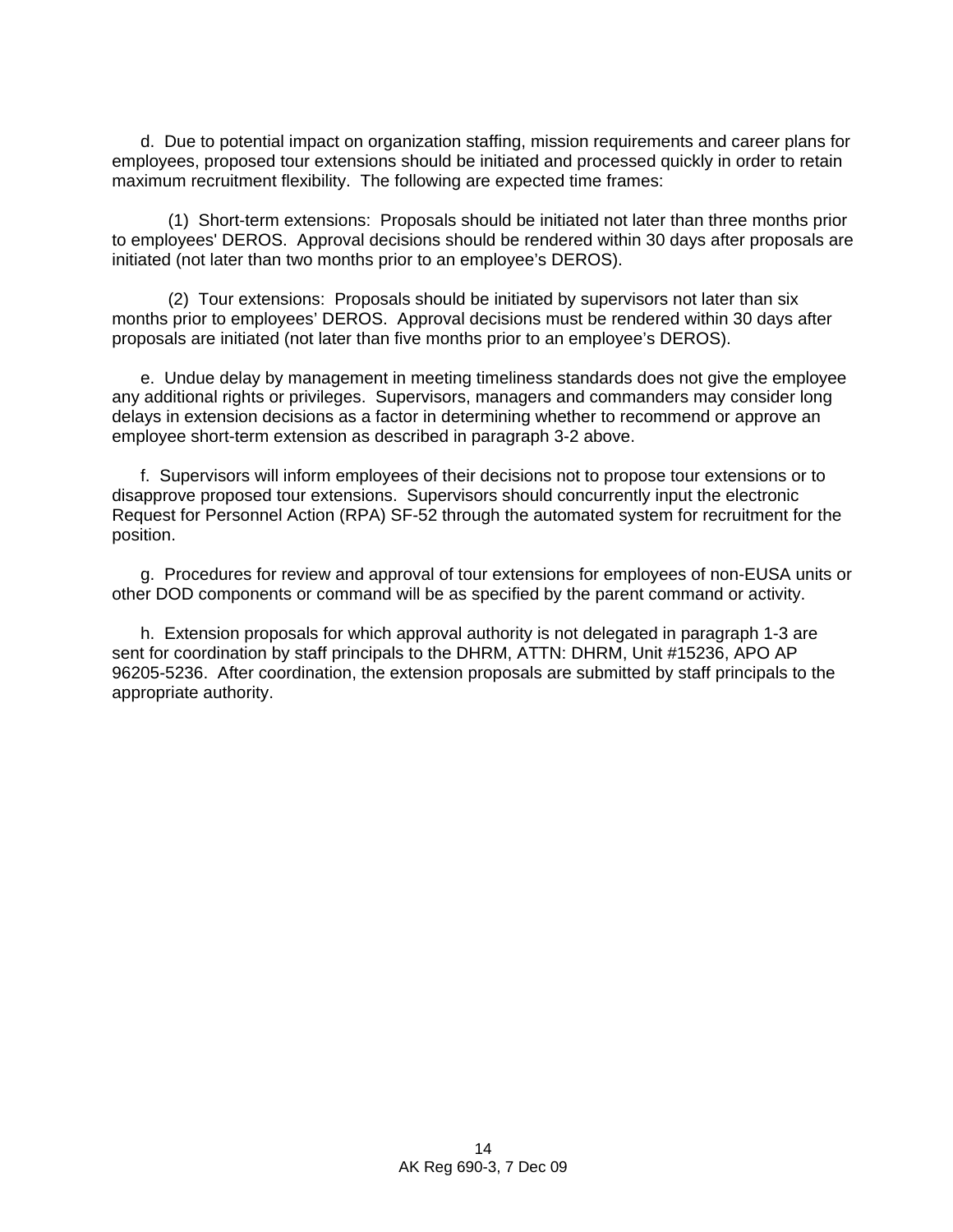d. Due to potential impact on organization staffing, mission requirements and career plans for employees, proposed tour extensions should be initiated and processed quickly in order to retain maximum recruitment flexibility. The following are expected time frames:

(1) Short-term extensions: Proposals should be initiated not later than three months prior to employees' DEROS. Approval decisions should be rendered within 30 days after proposals are initiated (not later than two months prior to an employee's DEROS).

(2) Tour extensions: Proposals should be initiated by supervisors not later than six months prior to employees' DEROS. Approval decisions must be rendered within 30 days after proposals are initiated (not later than five months prior to an employee's DEROS).

 e. Undue delay by management in meeting timeliness standards does not give the employee any additional rights or privileges. Supervisors, managers and commanders may consider long delays in extension decisions as a factor in determining whether to recommend or approve an employee short-term extension as described in paragraph 3-2 above.

 f. Supervisors will inform employees of their decisions not to propose tour extensions or to disapprove proposed tour extensions. Supervisors should concurrently input the electronic Request for Personnel Action (RPA) SF-52 through the automated system for recruitment for the position.

 g. Procedures for review and approval of tour extensions for employees of non-EUSA units or other DOD components or command will be as specified by the parent command or activity.

 h. Extension proposals for which approval authority is not delegated in paragraph 1-3 are sent for coordination by staff principals to the DHRM, ATTN: DHRM, Unit #15236, APO AP 96205-5236. After coordination, the extension proposals are submitted by staff principals to the appropriate authority.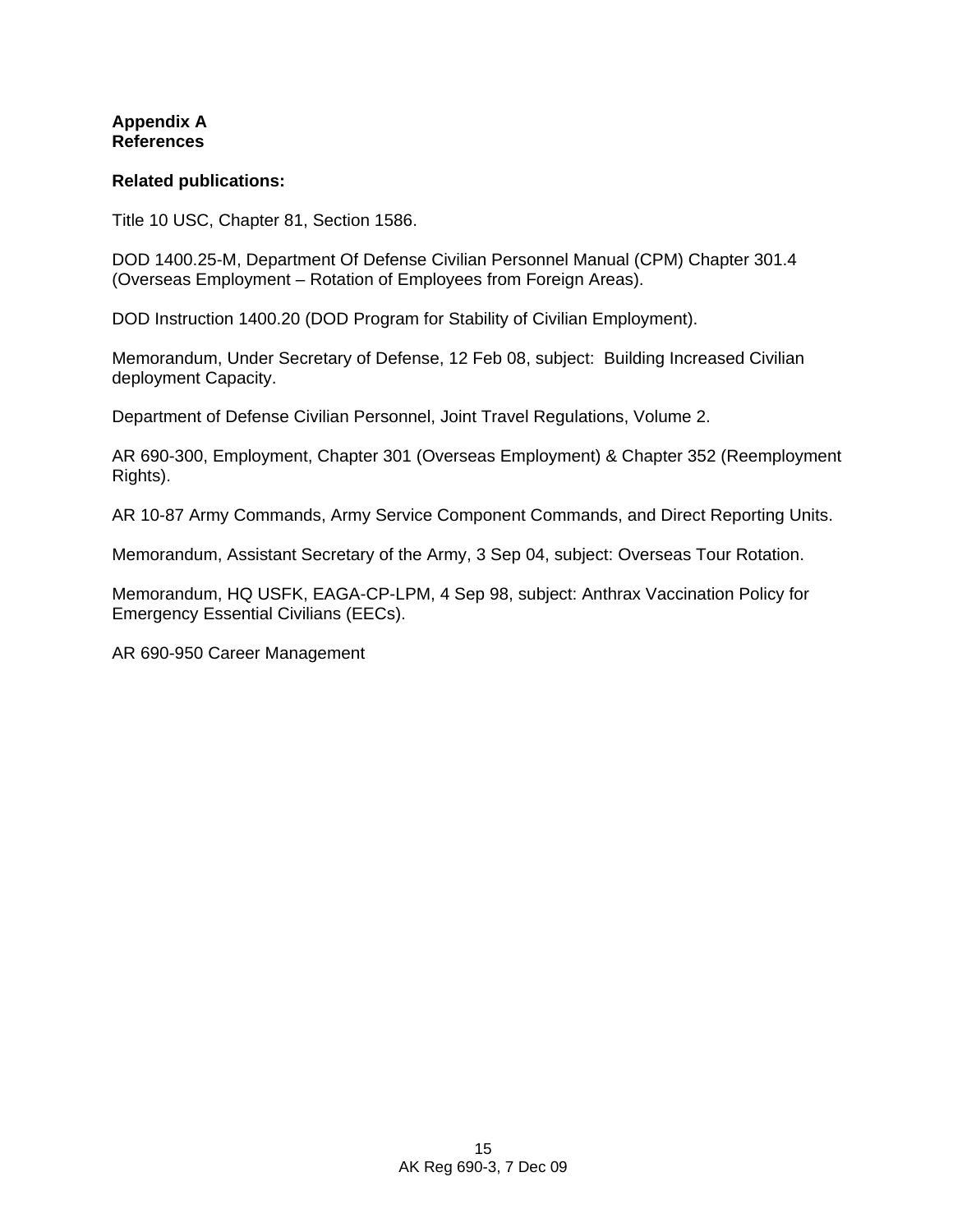### **Appendix A References**

### **Related publications:**

Title 10 USC, Chapter 81, Section 1586.

DOD 1400.25-M, Department Of Defense Civilian Personnel Manual (CPM) Chapter 301.4 (Overseas Employment – Rotation of Employees from Foreign Areas).

DOD Instruction 1400.20 (DOD Program for Stability of Civilian Employment).

Memorandum, Under Secretary of Defense, 12 Feb 08, subject: Building Increased Civilian deployment Capacity.

Department of Defense Civilian Personnel, Joint Travel Regulations, Volume 2.

AR 690-300, Employment, Chapter 301 (Overseas Employment) & Chapter 352 (Reemployment Rights).

AR 10-87 Army Commands, Army Service Component Commands, and Direct Reporting Units.

Memorandum, Assistant Secretary of the Army, 3 Sep 04, subject: Overseas Tour Rotation.

Memorandum, HQ USFK, EAGA-CP-LPM, 4 Sep 98, subject: Anthrax Vaccination Policy for Emergency Essential Civilians (EECs).

AR 690-950 Career Management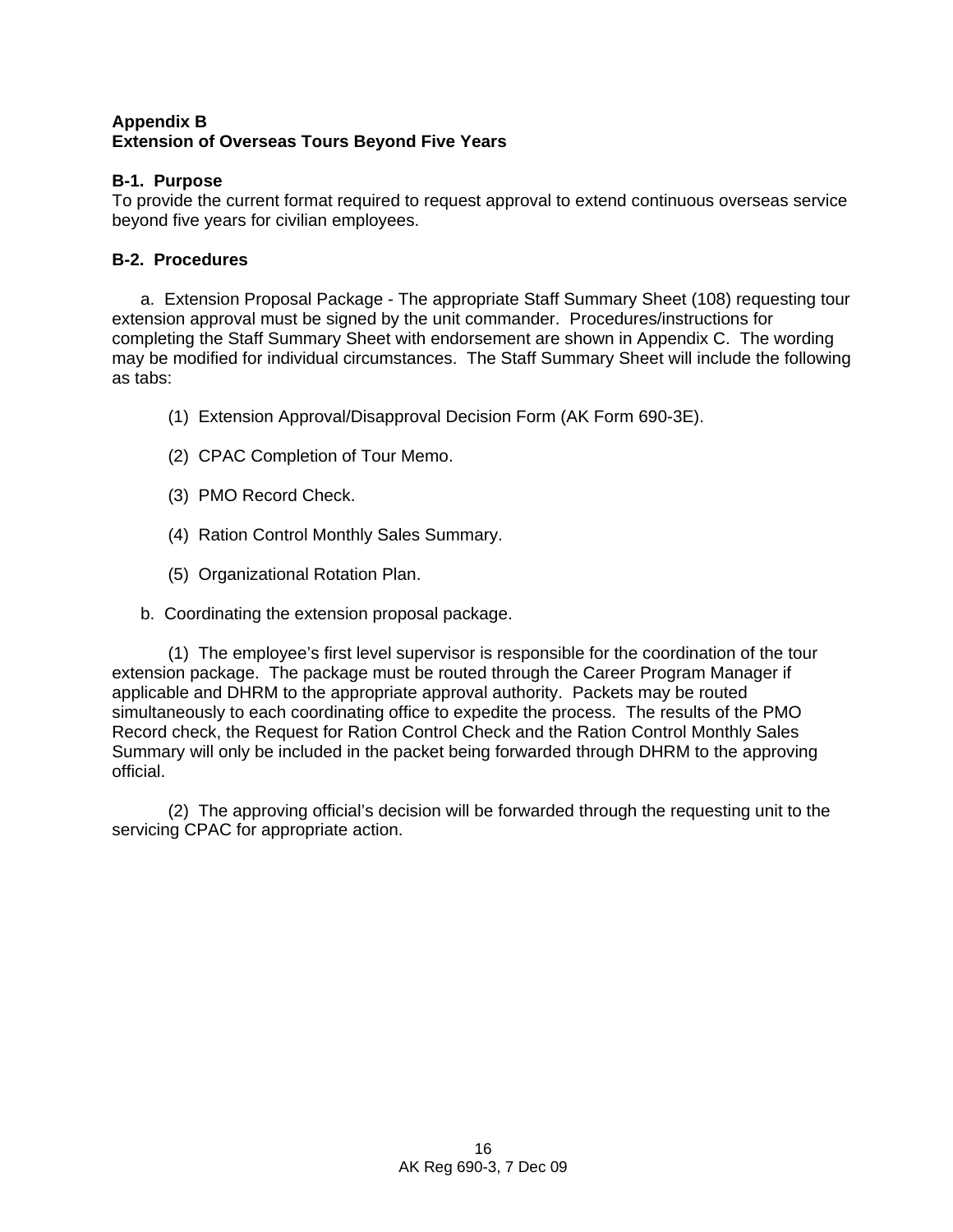### **Appendix B Extension of Overseas Tours Beyond Five Years**

## **B-1. Purpose**

To provide the current format required to request approval to extend continuous overseas service beyond five years for civilian employees.

# **B-2. Procedures**

 a. Extension Proposal Package - The appropriate Staff Summary Sheet (108) requesting tour extension approval must be signed by the unit commander. Procedures/instructions for completing the Staff Summary Sheet with endorsement are shown in Appendix C. The wording may be modified for individual circumstances. The Staff Summary Sheet will include the following as tabs:

- (1) Extension Approval/Disapproval Decision Form (AK Form 690-3E).
- (2) CPAC Completion of Tour Memo.
- (3) PMO Record Check.
- (4) Ration Control Monthly Sales Summary.
- (5) Organizational Rotation Plan.
- b. Coordinating the extension proposal package.

(1) The employee's first level supervisor is responsible for the coordination of the tour extension package. The package must be routed through the Career Program Manager if applicable and DHRM to the appropriate approval authority. Packets may be routed simultaneously to each coordinating office to expedite the process. The results of the PMO Record check, the Request for Ration Control Check and the Ration Control Monthly Sales Summary will only be included in the packet being forwarded through DHRM to the approving official.

(2) The approving official's decision will be forwarded through the requesting unit to the servicing CPAC for appropriate action.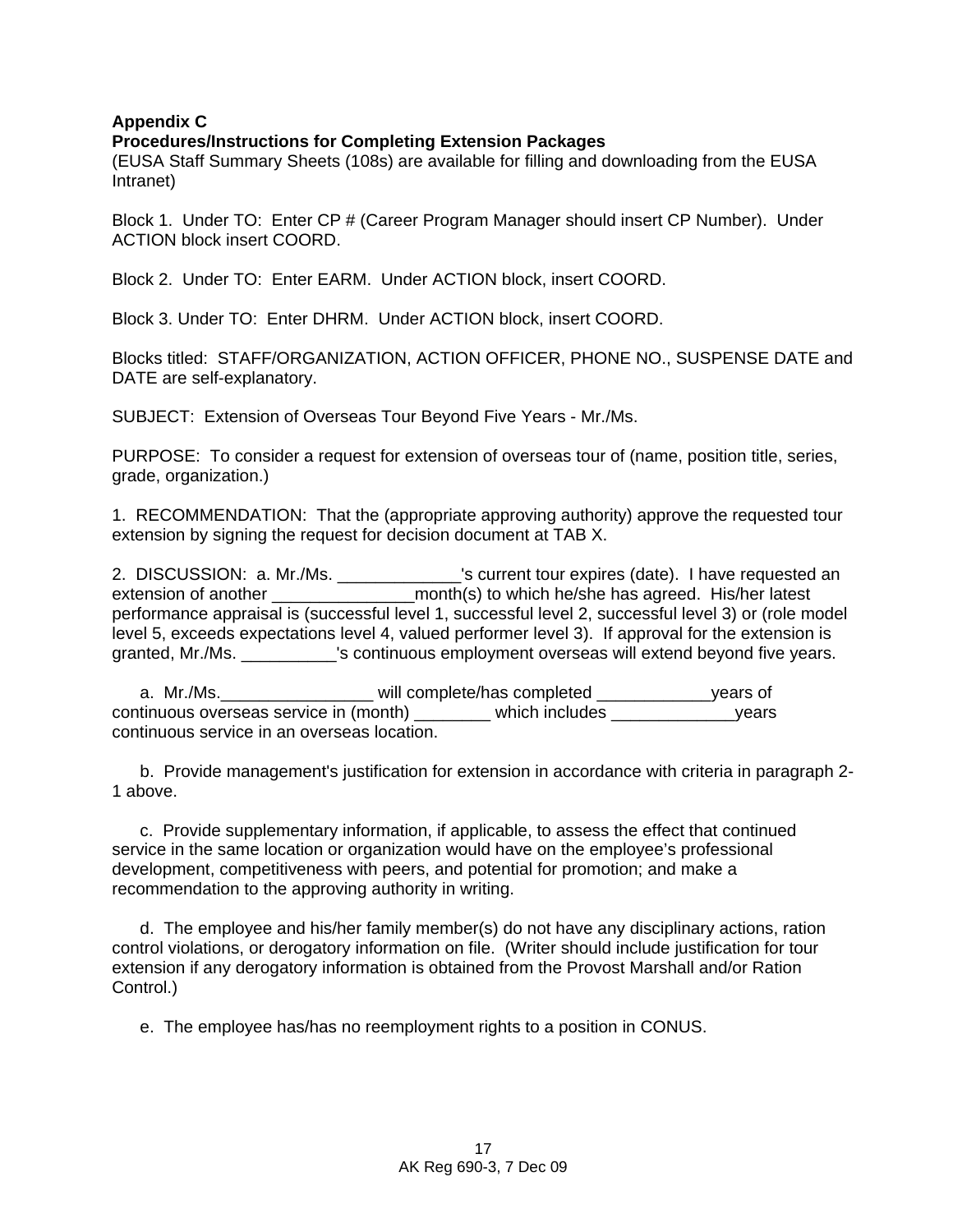### **Appendix C**

#### **Procedures/Instructions for Completing Extension Packages**

(EUSA Staff Summary Sheets (108s) are available for filling and downloading from the EUSA Intranet)

Block 1. Under TO: Enter CP # (Career Program Manager should insert CP Number). Under ACTION block insert COORD.

Block 2. Under TO: Enter EARM. Under ACTION block, insert COORD.

Block 3. Under TO: Enter DHRM. Under ACTION block, insert COORD.

Blocks titled: STAFF/ORGANIZATION, ACTION OFFICER, PHONE NO., SUSPENSE DATE and DATE are self-explanatory.

SUBJECT: Extension of Overseas Tour Beyond Five Years - Mr./Ms.

PURPOSE: To consider a request for extension of overseas tour of (name, position title, series, grade, organization.)

1. RECOMMENDATION: That the (appropriate approving authority) approve the requested tour extension by signing the request for decision document at TAB X.

2. DISCUSSION: a. Mr./Ms. \_\_\_\_\_\_\_\_\_\_\_\_\_'s current tour expires (date). I have requested an extension of another \_\_\_\_\_\_\_\_\_\_\_\_\_\_\_\_\_\_\_\_month(s) to which he/she has agreed. His/her latest performance appraisal is (successful level 1, successful level 2, successful level 3) or (role model level 5, exceeds expectations level 4, valued performer level 3). If approval for the extension is granted, Mr./Ms. \_\_\_\_\_\_\_\_\_\_'s continuous employment overseas will extend beyond five years.

a. Mr./Ms.\_\_\_\_\_\_\_\_\_\_\_\_\_\_\_\_\_\_\_\_ will complete/has completed \_\_\_\_\_\_\_\_\_\_\_\_\_years of continuous overseas service in (month) \_\_\_\_\_\_\_\_ which includes \_\_\_\_\_\_\_\_\_\_\_\_\_years continuous service in an overseas location.

 b. Provide management's justification for extension in accordance with criteria in paragraph 2- 1 above.

 c. Provide supplementary information, if applicable, to assess the effect that continued service in the same location or organization would have on the employee's professional development, competitiveness with peers, and potential for promotion; and make a recommendation to the approving authority in writing.

 d. The employee and his/her family member(s) do not have any disciplinary actions, ration control violations, or derogatory information on file. (Writer should include justification for tour extension if any derogatory information is obtained from the Provost Marshall and/or Ration Control.)

e. The employee has/has no reemployment rights to a position in CONUS.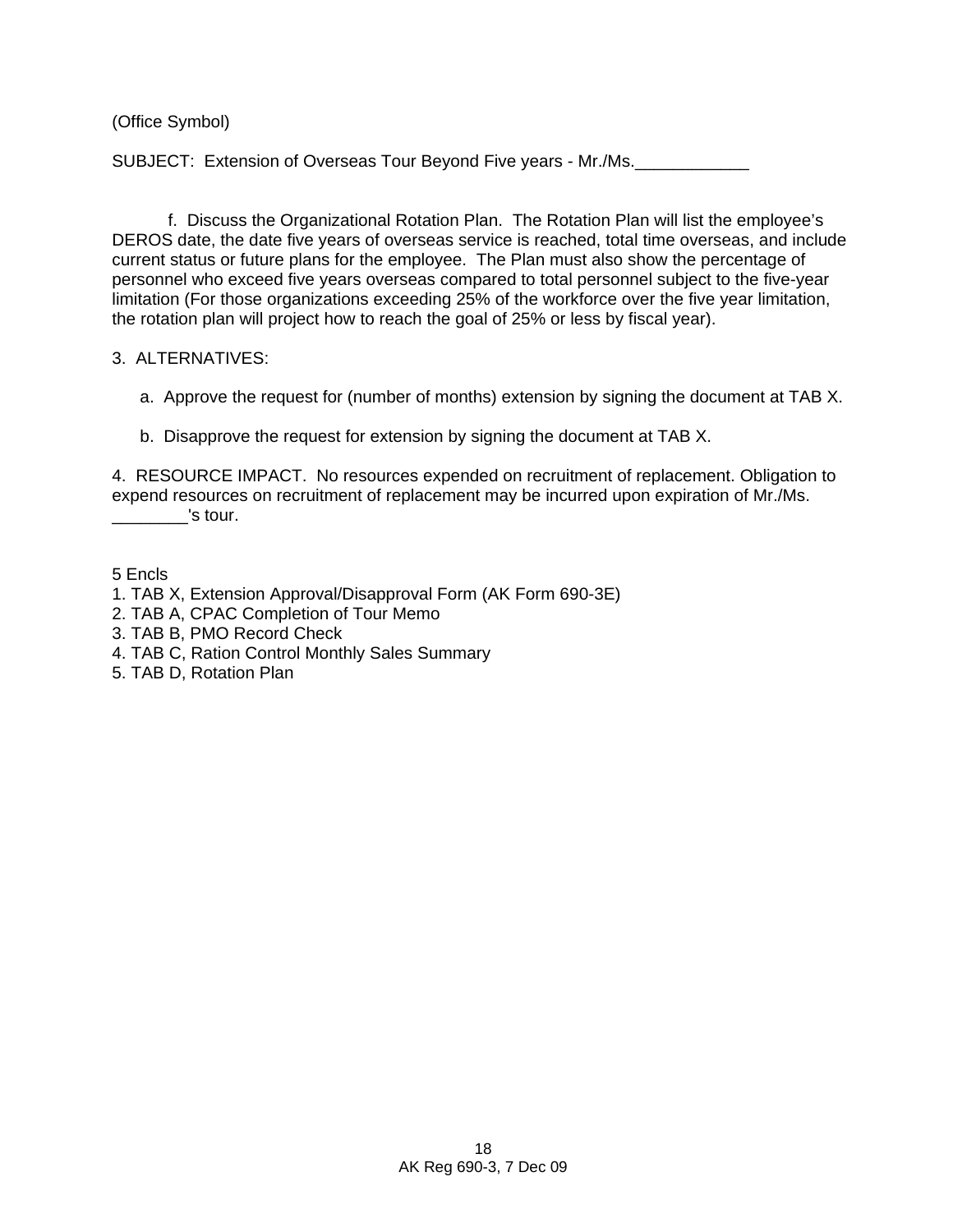(Office Symbol)

SUBJECT: Extension of Overseas Tour Beyond Five years - Mr./Ms.

 f. Discuss the Organizational Rotation Plan. The Rotation Plan will list the employee's DEROS date, the date five years of overseas service is reached, total time overseas, and include current status or future plans for the employee. The Plan must also show the percentage of personnel who exceed five years overseas compared to total personnel subject to the five-year limitation (For those organizations exceeding 25% of the workforce over the five year limitation, the rotation plan will project how to reach the goal of 25% or less by fiscal year).

### 3. ALTERNATIVES:

- a. Approve the request for (number of months) extension by signing the document at TAB X.
- b. Disapprove the request for extension by signing the document at TAB X.

4. RESOURCE IMPACT. No resources expended on recruitment of replacement. Obligation to expend resources on recruitment of replacement may be incurred upon expiration of Mr./Ms. 's tour.

5 Encls

- 1. TAB X, Extension Approval/Disapproval Form (AK Form 690-3E)
- 2. TAB A, CPAC Completion of Tour Memo
- 3. TAB B, PMO Record Check
- 4. TAB C, Ration Control Monthly Sales Summary
- 5. TAB D, Rotation Plan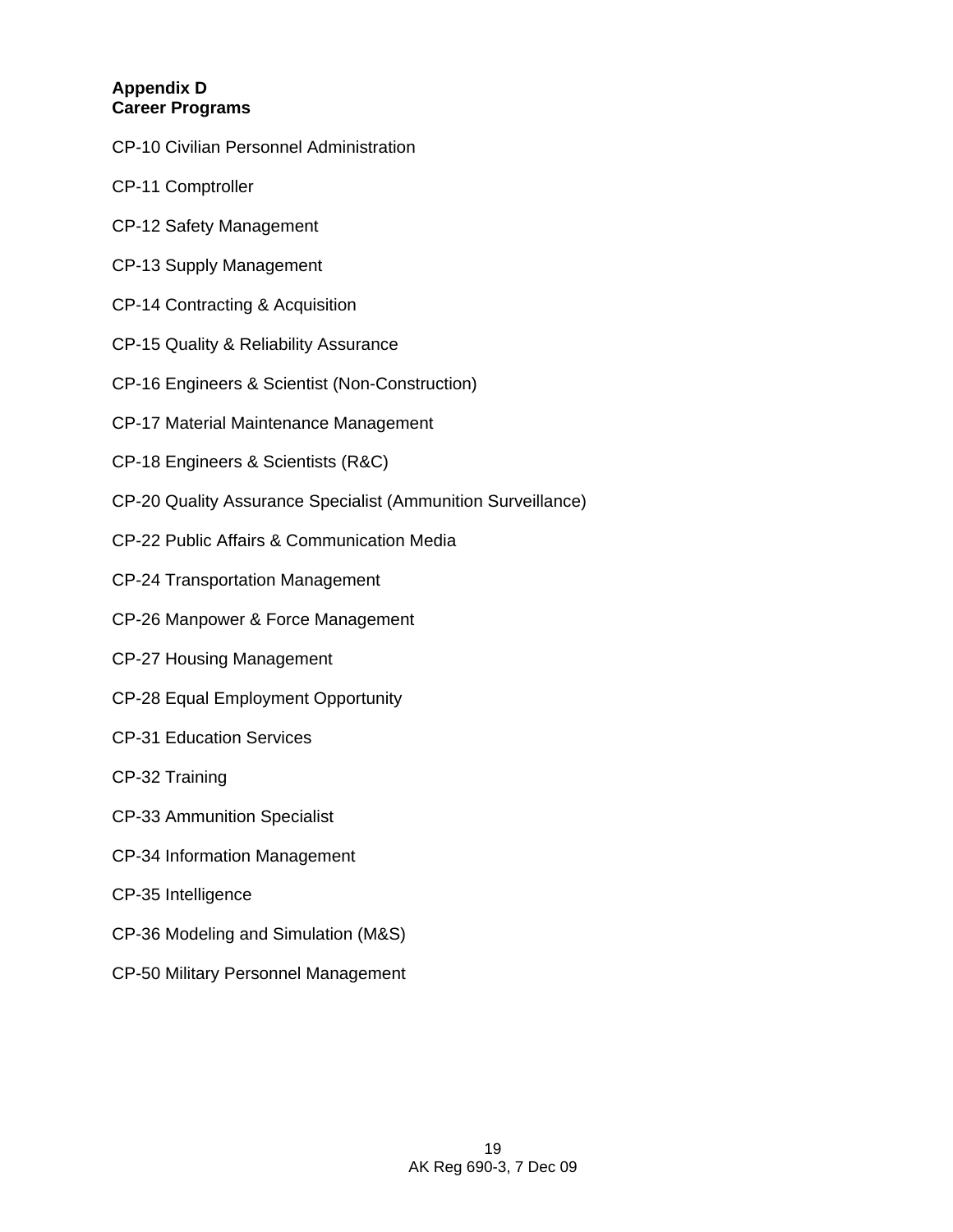## **Appendix D Career Programs**

- CP-10 Civilian Personnel Administration
- CP-11 Comptroller
- CP-12 Safety Management
- CP-13 Supply Management
- CP-14 Contracting & Acquisition
- CP-15 Quality & Reliability Assurance
- CP-16 Engineers & Scientist (Non-Construction)
- CP-17 Material Maintenance Management
- CP-18 Engineers & Scientists (R&C)
- CP-20 Quality Assurance Specialist (Ammunition Surveillance)
- CP-22 Public Affairs & Communication Media
- CP-24 Transportation Management
- CP-26 Manpower & Force Management
- CP-27 Housing Management
- CP-28 Equal Employment Opportunity
- CP-31 Education Services
- CP-32 Training
- CP-33 Ammunition Specialist
- CP-34 Information Management
- CP-35 Intelligence
- CP-36 Modeling and Simulation (M&S)
- CP-50 Military Personnel Management